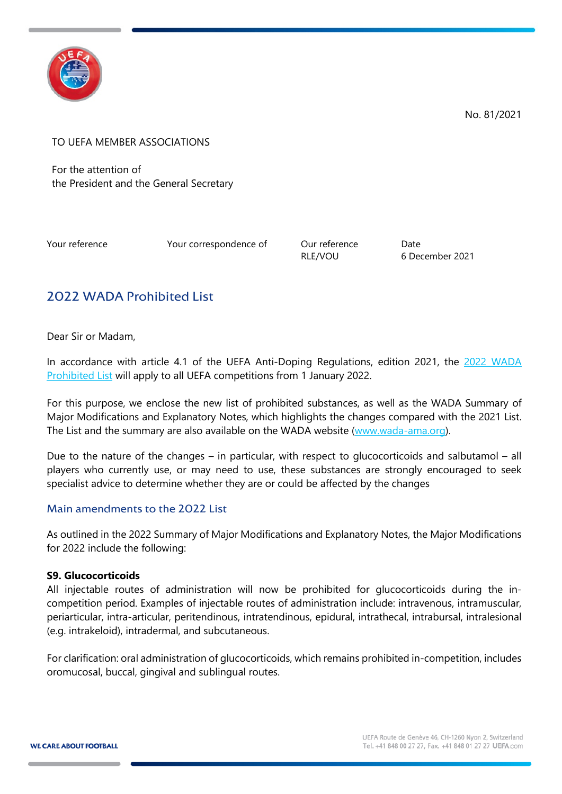

No. 81/2021

TO UEFA MEMBER ASSOCIATIONS

For the attention of the President and the General Secretary

Your reference Your correspondence of Our reference Date

RLE/VOU 6 December 2021

# 2022 WADA Prohibited List

Dear Sir or Madam,

In accordance with article 4.1 of the UEFA Anti-Doping Regulations, edition 2021, the 2022 WADA [Prohibited List](https://www.wada-ama.org/sites/default/files/resources/files/2022list_final_en.pdf) will apply to all UEFA competitions from 1 January 2022.

For this purpose, we enclose the new list of prohibited substances, as well as the WADA Summary of Major Modifications and Explanatory Notes, which highlights the changes compared with the 2021 List. The List and the summary are also available on the WADA website [\(www.wada-ama.org\)](http://www.wada-ama.org/).

Due to the nature of the changes – in particular, with respect to glucocorticoids and salbutamol – all players who currently use, or may need to use, these substances are strongly encouraged to seek specialist advice to determine whether they are or could be affected by the changes

## Main amendments to the 2022 List

As outlined in the 2022 Summary of Major Modifications and Explanatory Notes, the Major Modifications for 2022 include the following:

#### **S9. Glucocorticoids**

All injectable routes of administration will now be prohibited for glucocorticoids during the incompetition period. Examples of injectable routes of administration include: intravenous, intramuscular, periarticular, intra-articular, peritendinous, intratendinous, epidural, intrathecal, intrabursal, intralesional (e.g. intrakeloid), intradermal, and subcutaneous.

For clarification: oral administration of glucocorticoids, which remains prohibited in-competition, includes oromucosal, buccal, gingival and sublingual routes.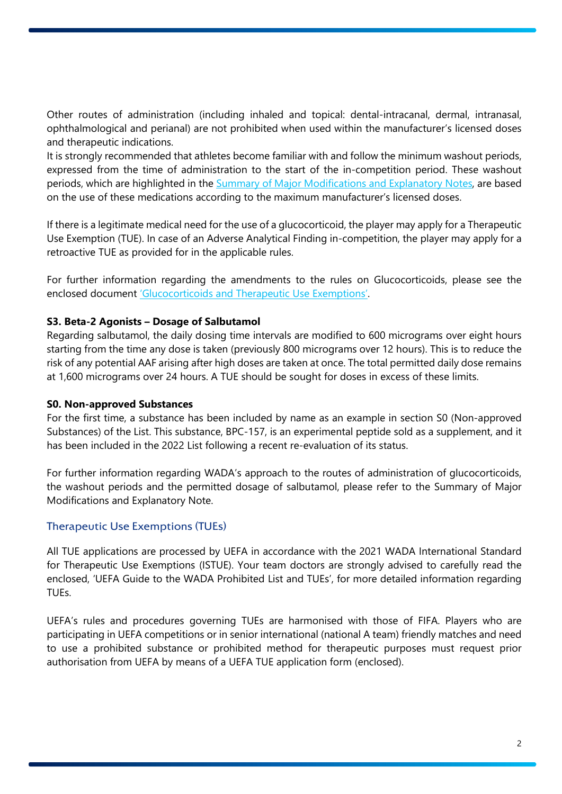Other routes of administration (including inhaled and topical: dental-intracanal, dermal, intranasal, ophthalmological and perianal) are not prohibited when used within the manufacturer's licensed doses and therapeutic indications.

It is strongly recommended that athletes become familiar with and follow the minimum washout periods, expressed from the time of administration to the start of the in-competition period. These washout periods, which are highlighted in the [Summary of Major Modifications and Explanatory Notes,](https://www.wada-ama.org/sites/default/files/resources/files/2022list_explanatory_note_final_en.pdf) are based on the use of these medications according to the maximum manufacturer's licensed doses.

If there is a legitimate medical need for the use of a glucocorticoid, the player may apply for a Therapeutic Use Exemption (TUE). In case of an Adverse Analytical Finding in-competition, the player may apply for a retroactive TUE as provided for in the applicable rules.

For further information regarding the amendments to the rules on Glucocorticoids, please see the enclosed document ['Glucocorticoids and Therapeutic Use Exemptions'.](https://www.wada-ama.org/en/resources/therapeutic-use-exemption-tue/glucocorticoids-and-therapeutic-use-exemptions-guidelines)

### **S3. Beta-2 Agonists – Dosage of Salbutamol**

Regarding salbutamol, the daily dosing time intervals are modified to 600 micrograms over eight hours starting from the time any dose is taken (previously 800 micrograms over 12 hours). This is to reduce the risk of any potential AAF arising after high doses are taken at once. The total permitted daily dose remains at 1,600 micrograms over 24 hours. A TUE should be sought for doses in excess of these limits.

#### **S0. Non-approved Substances**

For the first time, a substance has been included by name as an example in section S0 (Non-approved Substances) of the List. This substance, BPC-157, is an experimental peptide sold as a supplement, and it has been included in the 2022 List following a recent re-evaluation of its status.

For further information regarding WADA's approach to the routes of administration of glucocorticoids, the washout periods and the permitted dosage of salbutamol, please refer to the Summary of Major Modifications and Explanatory Note.

## Therapeutic Use Exemptions (TUEs)

All TUE applications are processed by UEFA in accordance with the 2021 WADA International Standard for Therapeutic Use Exemptions (ISTUE). Your team doctors are strongly advised to carefully read the enclosed, 'UEFA Guide to the WADA Prohibited List and TUEs', for more detailed information regarding TUEs.

UEFA's rules and procedures governing TUEs are harmonised with those of FIFA. Players who are participating in UEFA competitions or in senior international (national A team) friendly matches and need to use a prohibited substance or prohibited method for therapeutic purposes must request prior authorisation from UEFA by means of a UEFA TUE application form (enclosed).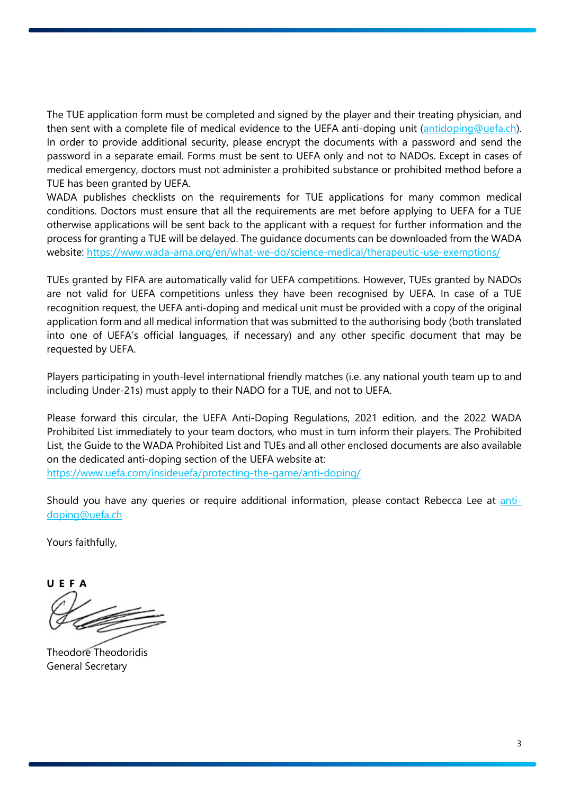The TUE application form must be completed and signed by the player and their treating physician, and then sent with a complete file of medical evidence to the UEFA anti-doping unit [\(antidoping@uefa.ch\)](mailto:antidoping@uefa.ch). In order to provide additional security, please encrypt the documents with a password and send the password in a separate email. Forms must be sent to UEFA only and not to NADOs. Except in cases of medical emergency, doctors must not administer a prohibited substance or prohibited method before a TUE has been granted by UEFA.

WADA publishes checklists on the requirements for TUE applications for many common medical conditions. Doctors must ensure that all the requirements are met before applying to UEFA for a TUE otherwise applications will be sent back to the applicant with a request for further information and the process for granting a TUE will be delayed. The guidance documents can be downloaded from the WADA website:<https://www.wada-ama.org/en/what-we-do/science-medical/therapeutic-use-exemptions/>

TUEs granted by FIFA are automatically valid for UEFA competitions. However, TUEs granted by NADOs are not valid for UEFA competitions unless they have been recognised by UEFA. In case of a TUE recognition request, the UEFA anti-doping and medical unit must be provided with a copy of the original application form and all medical information that was submitted to the authorising body (both translated into one of UEFA's official languages, if necessary) and any other specific document that may be requested by UEFA.

Players participating in youth-level international friendly matches (i.e. any national youth team up to and including Under-21s) must apply to their NADO for a TUE, and not to UEFA.

Please forward this circular, the UEFA Anti-Doping Regulations, 2021 edition, and the 2022 WADA Prohibited List immediately to your team doctors, who must in turn inform their players. The Prohibited List, the Guide to the WADA Prohibited List and TUEs and all other enclosed documents are also available on the dedicated anti-doping section of the UEFA website at:

<https://www.uefa.com/insideuefa/protecting-the-game/anti-doping/>

Should you have any queries or require additional information, please contact Rebecca Lee at [anti](mailto:anti-doping@uefa.ch)[doping@uefa.ch](mailto:anti-doping@uefa.ch)

Yours faithfully,

**UEFA**

Theodore Theodoridis General Secretary